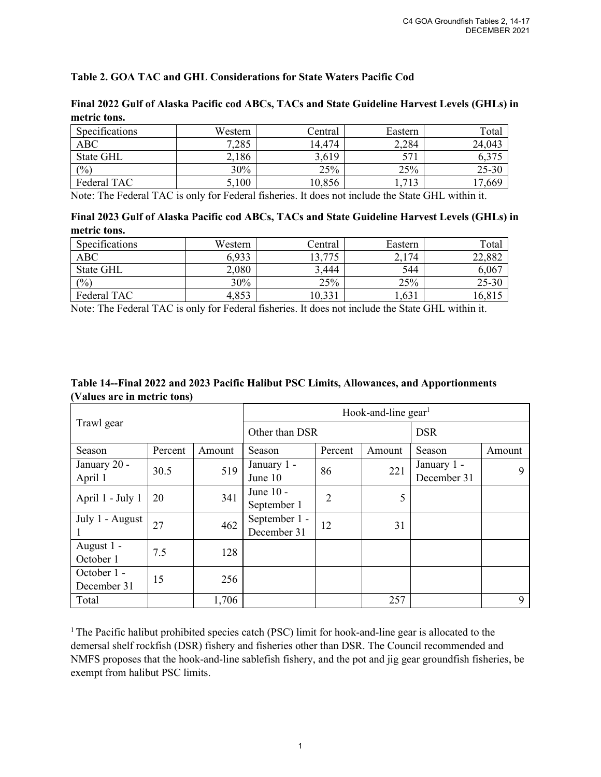## **Table 2. GOA TAC and GHL Considerations for State Waters Pacific Cod**

| metric tons.   |         |                 |         |        |
|----------------|---------|-----------------|---------|--------|
| Specifications | Western | ∠entral         | Eastern | Total  |
| ABC            | 7 285   | 474<br>$\Delta$ | 2 284   | 24.043 |

**Final 2022 Gulf of Alaska Pacific cod ABCs, TACs and State Guideline Harvest Levels (GHLs) in** 

| Specifications | Western | Central | Eastern     | Total  |
|----------------|---------|---------|-------------|--------|
| ABC            | 7,285   | 14,474  | 2,284       | 24,043 |
| State GHL      | 2,186   | 3,619   | 57          |        |
| (%)            | 30%     | 25%     | 25%         | 25-30  |
| Federal TAC    | 5,100   | 10,856  | <b>I</b> .J | 17,669 |

Note: The Federal TAC is only for Federal fisheries. It does not include the State GHL within it.

| Final 2023 Gulf of Alaska Pacific cod ABCs, TACs and State Guideline Harvest Levels (GHLs) in |  |  |
|-----------------------------------------------------------------------------------------------|--|--|
| metric tons.                                                                                  |  |  |

| Specifications   | Western | Central | Eastern | Total     |
|------------------|---------|---------|---------|-----------|
| <b>ABC</b>       | 6,933   | 13,775  | 2,174   | 22,882    |
| <b>State GHL</b> | 2,080   | 3,444   | 544     | 6,067     |
| (%)              | 30%     | 25%     | 25%     | $25 - 30$ |
| Federal TAC      | 4,853   | 10,331  | 0.631   | 16,81.    |

Note: The Federal TAC is only for Federal fisheries. It does not include the State GHL within it.

| Table 14--Final 2022 and 2023 Pacific Halibut PSC Limits, Allowances, and Apportionments |  |
|------------------------------------------------------------------------------------------|--|
| (Values are in metric tons)                                                              |  |

| Trawl gear                 |         | Hook-and-line $gen1$ |                              |         |            |                            |        |
|----------------------------|---------|----------------------|------------------------------|---------|------------|----------------------------|--------|
|                            |         | Other than DSR       |                              |         | <b>DSR</b> |                            |        |
| Season                     | Percent | Amount               | Season                       | Percent | Amount     | Season                     | Amount |
| January 20 -<br>April 1    | 30.5    | 519                  | January 1 -<br>June 10       | 86      | 221        | January 1 -<br>December 31 | 9      |
| April 1 - July 1           | 20      | 341                  | June 10 -<br>September 1     | 2       | 5          |                            |        |
| July 1 - August            | 27      | 462                  | September 1 -<br>December 31 | 12      | 31         |                            |        |
| August 1 -<br>October 1    | 7.5     | 128                  |                              |         |            |                            |        |
| October 1 -<br>December 31 | 15      | 256                  |                              |         |            |                            |        |
| Total                      |         | 1,706                |                              |         | 257        |                            | 9      |

<sup>1</sup> The Pacific halibut prohibited species catch (PSC) limit for hook-and-line gear is allocated to the demersal shelf rockfish (DSR) fishery and fisheries other than DSR. The Council recommended and NMFS proposes that the hook-and-line sablefish fishery, and the pot and jig gear groundfish fisheries, be exempt from halibut PSC limits.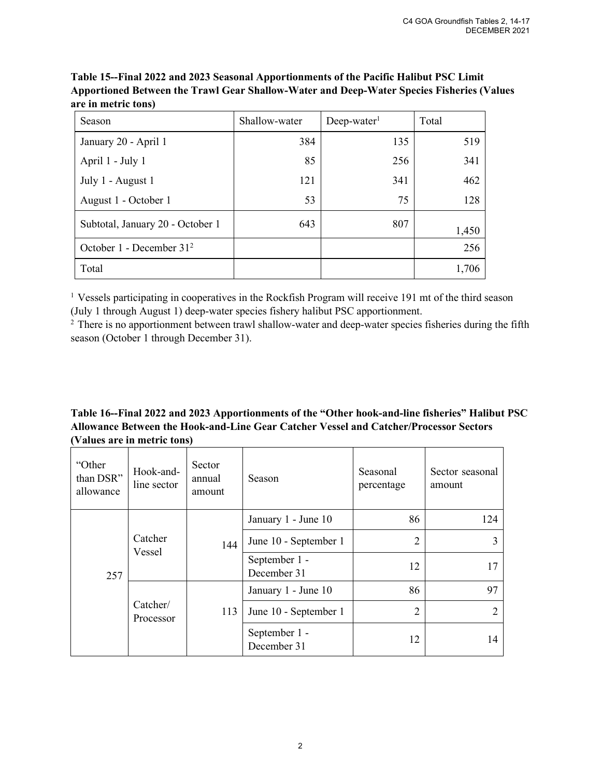| Season                           | Shallow-water | $Deep-water1$ | Total |
|----------------------------------|---------------|---------------|-------|
| January 20 - April 1             | 384           | 135           | 519   |
| April 1 - July 1                 | 85            | 256           | 341   |
| July 1 - August 1                | 121           | 341           | 462   |
| August 1 - October 1             | 53            | 75            | 128   |
| Subtotal, January 20 - October 1 | 643           | 807           | 1,450 |
| October 1 - December $312$       |               |               | 256   |
| Total                            |               |               | 1,706 |

**Table 15--Final 2022 and 2023 Seasonal Apportionments of the Pacific Halibut PSC Limit Apportioned Between the Trawl Gear Shallow-Water and Deep-Water Species Fisheries (Values are in metric tons)**

<sup>1</sup> Vessels participating in cooperatives in the Rockfish Program will receive 191 mt of the third season (July 1 through August 1) deep-water species fishery halibut PSC apportionment.

<sup>2</sup> There is no apportionment between trawl shallow-water and deep-water species fisheries during the fifth season (October 1 through December 31).

## **Table 16--Final 2022 and 2023 Apportionments of the "Other hook-and-line fisheries" Halibut PSC Allowance Between the Hook-and-Line Gear Catcher Vessel and Catcher/Processor Sectors (Values are in metric tons)**

| "Other<br>than DSR"<br>allowance | Hook-and-<br>line sector | Sector<br>annual<br>amount | Season                       | Seasonal<br>percentage | Sector seasonal<br>amount |
|----------------------------------|--------------------------|----------------------------|------------------------------|------------------------|---------------------------|
|                                  |                          |                            | January 1 - June 10          | 86                     | 124                       |
|                                  | Catcher                  | 144                        | June 10 - September 1        | 2                      |                           |
| 257                              | Vessel                   |                            | September 1 -<br>December 31 | 12                     | 17                        |
|                                  |                          |                            | January 1 - June 10          | 86                     | 97                        |
|                                  | Catcher/<br>Processor    | 113                        | June 10 - September 1        | $\overline{2}$         | 2                         |
|                                  |                          |                            | September 1 -<br>December 31 | 12                     | 14                        |